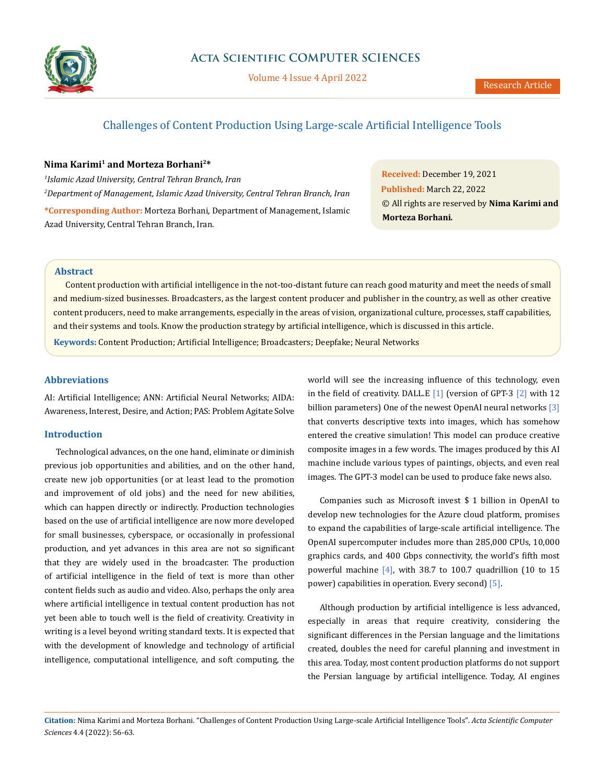

Volume 4 Issue 4 April 2022

# Challenges of Content Production Using Large-scale Artificial Intelligence Tools

## **Nima Karimi1 and Morteza Borhani2\***

*1 Islamic Azad University, Central Tehran Branch, Iran 2 Department of Management, Islamic Azad University, Central Tehran Branch, Iran*  **\*Corresponding Author:** Morteza Borhani, Department of Management, Islamic Azad University, Central Tehran Branch, Iran.

**Received:** December 19, 2021 **Published:** March 22, 2022 © All rights are reserved by **Nima Karimi and Morteza Borhani***.*

# **Abstract**

Content production with artificial intelligence in the not-too-distant future can reach good maturity and meet the needs of small and medium-sized businesses. Broadcasters, as the largest content producer and publisher in the country, as well as other creative content producers, need to make arrangements, especially in the areas of vision, organizational culture, processes, staff capabilities, and their systems and tools. Know the production strategy by artificial intelligence, which is discussed in this article. **Keywords:** Content Production; Artificial Intelligence; Broadcasters; Deepfake; Neural Networks

### **Abbreviations**

AI: Artificial Intelligence; ANN: Artificial Neural Networks; AIDA: Awareness, Interest, Desire, and Action; PAS: Problem Agitate Solve

### **Introduction**

Technological advances, on the one hand, eliminate or diminish previous job opportunities and abilities, and on the other hand, create new job opportunities (or at least lead to the promotion and improvement of old jobs) and the need for new abilities, which can happen directly or indirectly. Production technologies based on the use of artificial intelligence are now more developed for small businesses, cyberspace, or occasionally in professional production, and yet advances in this area are not so significant that they are widely used in the broadcaster. The production of artificial intelligence in the field of text is more than other content fields such as audio and video. Also, perhaps the only area where artificial intelligence in textual content production has not yet been able to touch well is the field of creativity. Creativity in writing is a level beyond writing standard texts. It is expected that with the development of knowledge and technology of artificial intelligence, computational intelligence, and soft computing, the world will see the increasing influence of this technology, even in the field of creativity. DALL.E  $[1]$  (version of GPT-3  $[2]$  with 12 billion parameters) One of the newest OpenAI neural networks [3] that converts descriptive texts into images, which has somehow entered the creative simulation! This model can produce creative composite images in a few words. The images produced by this AI machine include various types of paintings, objects, and even real images. The GPT-3 model can be used to produce fake news also.

Companies such as Microsoft invest \$ 1 billion in OpenAI to develop new technologies for the Azure cloud platform, promises to expand the capabilities of large-scale artificial intelligence. The OpenAI supercomputer includes more than 285,000 CPUs, 10,000 graphics cards, and 400 Gbps connectivity, the world's fifth most powerful machine  $[4]$ , with 38.7 to 100.7 quadrillion (10 to 15 power) capabilities in operation. Every second) [5].

Although production by artificial intelligence is less advanced, especially in areas that require creativity, considering the significant differences in the Persian language and the limitations created, doubles the need for careful planning and investment in this area. Today, most content production platforms do not support the Persian language by artificial intelligence. Today, AI engines

**Citation:** Nima Karimi and Morteza Borhani*.* "Challenges of Content Production Using Large-scale Artificial Intelligence Tools". *Acta Scientific Computer Sciences* 4.4 (2022): 56-63.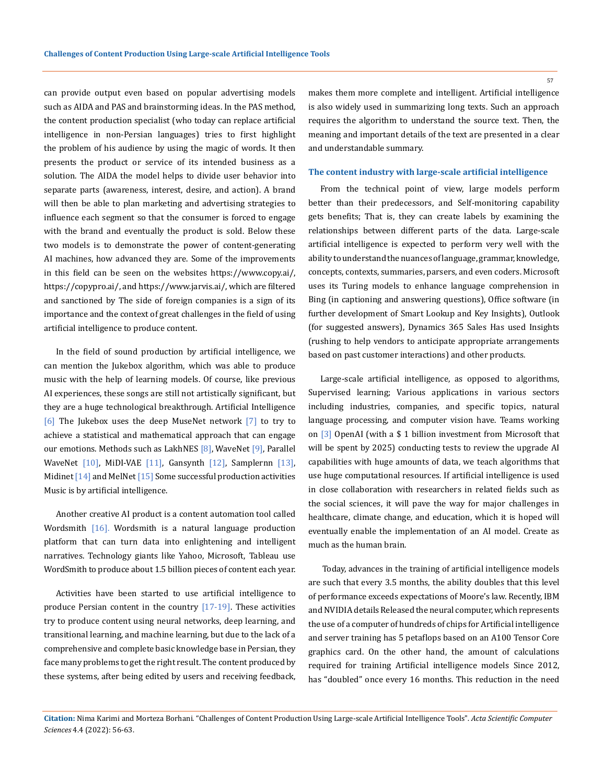can provide output even based on popular advertising models such as AIDA and PAS and brainstorming ideas. In the PAS method, the content production specialist (who today can replace artificial intelligence in non-Persian languages) tries to first highlight the problem of his audience by using the magic of words. It then presents the product or service of its intended business as a solution. The AIDA the model helps to divide user behavior into separate parts (awareness, interest, desire, and action). A brand will then be able to plan marketing and advertising strategies to influence each segment so that the consumer is forced to engage with the brand and eventually the product is sold. Below these two models is to demonstrate the power of content-generating AI machines, how advanced they are. Some of the improvements in this field can be seen on the websites https://www.copy.ai/, https://copypro.ai/, and https://www.jarvis.ai/, which are filtered and sanctioned by The side of foreign companies is a sign of its importance and the context of great challenges in the field of using artificial intelligence to produce content.

In the field of sound production by artificial intelligence, we can mention the Jukebox algorithm, which was able to produce music with the help of learning models. Of course, like previous AI experiences, these songs are still not artistically significant, but they are a huge technological breakthrough. Artificial Intelligence [6] The Jukebox uses the deep MuseNet network [7] to try to achieve a statistical and mathematical approach that can engage our emotions. Methods such as LakhNES [8], WaveNet [9], Parallel WaveNet [10], MiDI-VAE [11], Gansynth [12], Samplernn [13], Midinet  $[14]$  and MelNet  $[15]$  Some successful production activities Music is by artificial intelligence.

Another creative AI product is a content automation tool called Wordsmith [16]. Wordsmith is a natural language production platform that can turn data into enlightening and intelligent narratives. Technology giants like Yahoo, Microsoft, Tableau use WordSmith to produce about 1.5 billion pieces of content each year.

Activities have been started to use artificial intelligence to produce Persian content in the country [17-19]. These activities try to produce content using neural networks, deep learning, and transitional learning, and machine learning, but due to the lack of a comprehensive and complete basic knowledge base in Persian, they face many problems to get the right result. The content produced by these systems, after being edited by users and receiving feedback,

makes them more complete and intelligent. Artificial intelligence is also widely used in summarizing long texts. Such an approach requires the algorithm to understand the source text. Then, the meaning and important details of the text are presented in a clear and understandable summary.

### **The content industry with large-scale artificial intelligence**

From the technical point of view, large models perform better than their predecessors, and Self-monitoring capability gets benefits; That is, they can create labels by examining the relationships between different parts of the data. Large-scale artificial intelligence is expected to perform very well with the ability to understand the nuances of language, grammar, knowledge, concepts, contexts, summaries, parsers, and even coders. Microsoft uses its Turing models to enhance language comprehension in Bing (in captioning and answering questions), Office software (in further development of Smart Lookup and Key Insights), Outlook (for suggested answers), Dynamics 365 Sales Has used Insights (rushing to help vendors to anticipate appropriate arrangements based on past customer interactions) and other products.

Large-scale artificial intelligence, as opposed to algorithms, Supervised learning; Various applications in various sectors including industries, companies, and specific topics, natural language processing, and computer vision have. Teams working on [3] OpenAI (with a \$ 1 billion investment from Microsoft that will be spent by 2025) conducting tests to review the upgrade AI capabilities with huge amounts of data, we teach algorithms that use huge computational resources. If artificial intelligence is used in close collaboration with researchers in related fields such as the social sciences, it will pave the way for major challenges in healthcare, climate change, and education, which it is hoped will eventually enable the implementation of an AI model. Create as much as the human brain.

 Today, advances in the training of artificial intelligence models are such that every 3.5 months, the ability doubles that this level of performance exceeds expectations of Moore's law. Recently, IBM and NVIDIA details Released the neural computer, which represents the use of a computer of hundreds of chips for Artificial intelligence and server training has 5 petaflops based on an A100 Tensor Core graphics card. On the other hand, the amount of calculations required for training Artificial intelligence models Since 2012, has "doubled" once every 16 months. This reduction in the need

**Citation:** Nima Karimi and Morteza Borhani*.* "Challenges of Content Production Using Large-scale Artificial Intelligence Tools". *Acta Scientific Computer Sciences* 4.4 (2022): 56-63.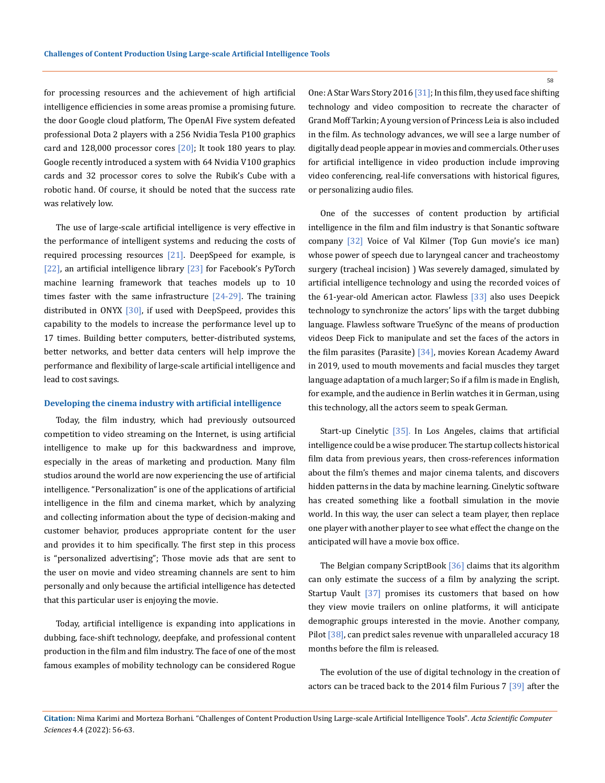for processing resources and the achievement of high artificial intelligence efficiencies in some areas promise a promising future. the door Google cloud platform, The OpenAI Five system defeated professional Dota 2 players with a 256 Nvidia Tesla P100 graphics card and 128,000 processor cores  $[20]$ ; It took 180 years to play. Google recently introduced a system with 64 Nvidia V100 graphics cards and 32 processor cores to solve the Rubik's Cube with a robotic hand. Of course, it should be noted that the success rate was relatively low.

The use of large-scale artificial intelligence is very effective in the performance of intelligent systems and reducing the costs of required processing resources [21]. DeepSpeed for example, is [22], an artificial intelligence library [23] for Facebook's PyTorch machine learning framework that teaches models up to 10 times faster with the same infrastructure  $[24-29]$ . The training distributed in ONYX [30], if used with DeepSpeed, provides this capability to the models to increase the performance level up to 17 times. Building better computers, better-distributed systems, better networks, and better data centers will help improve the performance and flexibility of large-scale artificial intelligence and lead to cost savings.

#### **Developing the cinema industry with artificial intelligence**

Today, the film industry, which had previously outsourced competition to video streaming on the Internet, is using artificial intelligence to make up for this backwardness and improve, especially in the areas of marketing and production. Many film studios around the world are now experiencing the use of artificial intelligence. "Personalization" is one of the applications of artificial intelligence in the film and cinema market, which by analyzing and collecting information about the type of decision-making and customer behavior, produces appropriate content for the user and provides it to him specifically. The first step in this process is "personalized advertising"; Those movie ads that are sent to the user on movie and video streaming channels are sent to him personally and only because the artificial intelligence has detected that this particular user is enjoying the movie.

Today, artificial intelligence is expanding into applications in dubbing, face-shift technology, deepfake, and professional content production in the film and film industry. The face of one of the most famous examples of mobility technology can be considered Rogue One: A Star Wars Story 2016 [31]; In this film, they used face shifting technology and video composition to recreate the character of Grand Moff Tarkin; A young version of Princess Leia is also included in the film. As technology advances, we will see a large number of digitally dead people appear in movies and commercials. Other uses for artificial intelligence in video production include improving video conferencing, real-life conversations with historical figures, or personalizing audio files.

One of the successes of content production by artificial intelligence in the film and film industry is that Sonantic software company [32] Voice of Val Kilmer (Top Gun movie's ice man) whose power of speech due to laryngeal cancer and tracheostomy surgery (tracheal incision) ) Was severely damaged, simulated by artificial intelligence technology and using the recorded voices of the 61-year-old American actor. Flawless [33] also uses Deepick technology to synchronize the actors' lips with the target dubbing language. Flawless software TrueSync of the means of production videos Deep Fick to manipulate and set the faces of the actors in the film parasites (Parasite) [34], movies Korean Academy Award in 2019, used to mouth movements and facial muscles they target language adaptation of a much larger; So if a film is made in English, for example, and the audience in Berlin watches it in German, using this technology, all the actors seem to speak German.

Start-up Cinelytic [35]. In Los Angeles, claims that artificial intelligence could be a wise producer. The startup collects historical film data from previous years, then cross-references information about the film's themes and major cinema talents, and discovers hidden patterns in the data by machine learning. Cinelytic software has created something like a football simulation in the movie world. In this way, the user can select a team player, then replace one player with another player to see what effect the change on the anticipated will have a movie box office.

The Belgian company ScriptBook [36] claims that its algorithm can only estimate the success of a film by analyzing the script. Startup Vault <a>[37]</a> promises its customers that based on how they view movie trailers on online platforms, it will anticipate demographic groups interested in the movie. Another company, Pilot [38], can predict sales revenue with unparalleled accuracy 18 months before the film is released.

The evolution of the use of digital technology in the creation of actors can be traced back to the 2014 film Furious 7 [39] after the

**Citation:** Nima Karimi and Morteza Borhani*.* "Challenges of Content Production Using Large-scale Artificial Intelligence Tools". *Acta Scientific Computer Sciences* 4.4 (2022): 56-63.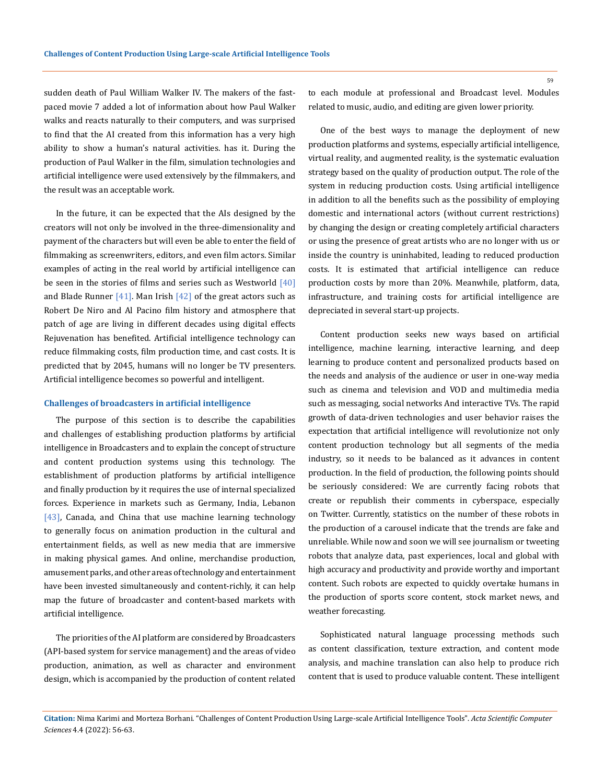sudden death of Paul William Walker IV. The makers of the fastpaced movie 7 added a lot of information about how Paul Walker walks and reacts naturally to their computers, and was surprised to find that the AI created from this information has a very high ability to show a human's natural activities. has it. During the production of Paul Walker in the film, simulation technologies and artificial intelligence were used extensively by the filmmakers, and the result was an acceptable work.

In the future, it can be expected that the AIs designed by the creators will not only be involved in the three-dimensionality and payment of the characters but will even be able to enter the field of filmmaking as screenwriters, editors, and even film actors. Similar examples of acting in the real world by artificial intelligence can be seen in the stories of films and series such as Westworld  $[40]$ and Blade Runner  $[41]$ . Man Irish  $[42]$  of the great actors such as Robert De Niro and Al Pacino film history and atmosphere that patch of age are living in different decades using digital effects Rejuvenation has benefited. Artificial intelligence technology can reduce filmmaking costs, film production time, and cast costs. It is predicted that by 2045, humans will no longer be TV presenters. Artificial intelligence becomes so powerful and intelligent.

#### **Challenges of broadcasters in artificial intelligence**

The purpose of this section is to describe the capabilities and challenges of establishing production platforms by artificial intelligence in Broadcasters and to explain the concept of structure and content production systems using this technology. The establishment of production platforms by artificial intelligence and finally production by it requires the use of internal specialized forces. Experience in markets such as Germany, India, Lebanon [43], Canada, and China that use machine learning technology to generally focus on animation production in the cultural and entertainment fields, as well as new media that are immersive in making physical games. And online, merchandise production, amusement parks, and other areas of technology and entertainment have been invested simultaneously and content-richly, it can help map the future of broadcaster and content-based markets with artificial intelligence.

The priorities of the AI platform are considered by Broadcasters (API-based system for service management) and the areas of video production, animation, as well as character and environment design, which is accompanied by the production of content related to each module at professional and Broadcast level. Modules related to music, audio, and editing are given lower priority.

One of the best ways to manage the deployment of new production platforms and systems, especially artificial intelligence, virtual reality, and augmented reality, is the systematic evaluation strategy based on the quality of production output. The role of the system in reducing production costs. Using artificial intelligence in addition to all the benefits such as the possibility of employing domestic and international actors (without current restrictions) by changing the design or creating completely artificial characters or using the presence of great artists who are no longer with us or inside the country is uninhabited, leading to reduced production costs. It is estimated that artificial intelligence can reduce production costs by more than 20%. Meanwhile, platform, data, infrastructure, and training costs for artificial intelligence are depreciated in several start-up projects.

Content production seeks new ways based on artificial intelligence, machine learning, interactive learning, and deep learning to produce content and personalized products based on the needs and analysis of the audience or user in one-way media such as cinema and television and VOD and multimedia media such as messaging, social networks And interactive TVs. The rapid growth of data-driven technologies and user behavior raises the expectation that artificial intelligence will revolutionize not only content production technology but all segments of the media industry, so it needs to be balanced as it advances in content production. In the field of production, the following points should be seriously considered: We are currently facing robots that create or republish their comments in cyberspace, especially on Twitter. Currently, statistics on the number of these robots in the production of a carousel indicate that the trends are fake and unreliable. While now and soon we will see journalism or tweeting robots that analyze data, past experiences, local and global with high accuracy and productivity and provide worthy and important content. Such robots are expected to quickly overtake humans in the production of sports score content, stock market news, and weather forecasting.

Sophisticated natural language processing methods such as content classification, texture extraction, and content mode analysis, and machine translation can also help to produce rich content that is used to produce valuable content. These intelligent

**Citation:** Nima Karimi and Morteza Borhani*.* "Challenges of Content Production Using Large-scale Artificial Intelligence Tools". *Acta Scientific Computer Sciences* 4.4 (2022): 56-63.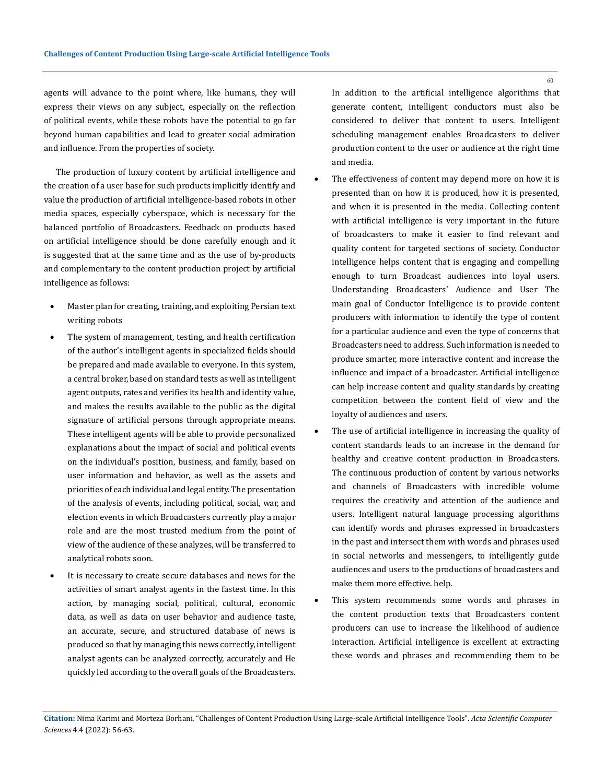agents will advance to the point where, like humans, they will express their views on any subject, especially on the reflection of political events, while these robots have the potential to go far beyond human capabilities and lead to greater social admiration and influence. From the properties of society.

The production of luxury content by artificial intelligence and the creation of a user base for such products implicitly identify and value the production of artificial intelligence-based robots in other media spaces, especially cyberspace, which is necessary for the balanced portfolio of Broadcasters. Feedback on products based on artificial intelligence should be done carefully enough and it is suggested that at the same time and as the use of by-products and complementary to the content production project by artificial intelligence as follows:

- Master plan for creating, training, and exploiting Persian text writing robots
- The system of management, testing, and health certification of the author's intelligent agents in specialized fields should be prepared and made available to everyone. In this system, a central broker, based on standard tests as well as intelligent agent outputs, rates and verifies its health and identity value, and makes the results available to the public as the digital signature of artificial persons through appropriate means. These intelligent agents will be able to provide personalized explanations about the impact of social and political events on the individual's position, business, and family, based on user information and behavior, as well as the assets and priorities of each individual and legal entity. The presentation of the analysis of events, including political, social, war, and election events in which Broadcasters currently play a major role and are the most trusted medium from the point of view of the audience of these analyzes, will be transferred to analytical robots soon.
- It is necessary to create secure databases and news for the activities of smart analyst agents in the fastest time. In this action, by managing social, political, cultural, economic data, as well as data on user behavior and audience taste, an accurate, secure, and structured database of news is produced so that by managing this news correctly, intelligent analyst agents can be analyzed correctly, accurately and He quickly led according to the overall goals of the Broadcasters.

In addition to the artificial intelligence algorithms that generate content, intelligent conductors must also be considered to deliver that content to users. Intelligent scheduling management enables Broadcasters to deliver production content to the user or audience at the right time and media.

- The effectiveness of content may depend more on how it is presented than on how it is produced, how it is presented, and when it is presented in the media. Collecting content with artificial intelligence is very important in the future of broadcasters to make it easier to find relevant and quality content for targeted sections of society. Conductor intelligence helps content that is engaging and compelling enough to turn Broadcast audiences into loyal users. Understanding Broadcasters' Audience and User The main goal of Conductor Intelligence is to provide content producers with information to identify the type of content for a particular audience and even the type of concerns that Broadcasters need to address. Such information is needed to produce smarter, more interactive content and increase the influence and impact of a broadcaster. Artificial intelligence can help increase content and quality standards by creating competition between the content field of view and the loyalty of audiences and users.
- The use of artificial intelligence in increasing the quality of content standards leads to an increase in the demand for healthy and creative content production in Broadcasters. The continuous production of content by various networks and channels of Broadcasters with incredible volume requires the creativity and attention of the audience and users. Intelligent natural language processing algorithms can identify words and phrases expressed in broadcasters in the past and intersect them with words and phrases used in social networks and messengers, to intelligently guide audiences and users to the productions of broadcasters and make them more effective. help.
- This system recommends some words and phrases in the content production texts that Broadcasters content producers can use to increase the likelihood of audience interaction. Artificial intelligence is excellent at extracting these words and phrases and recommending them to be

**Citation:** Nima Karimi and Morteza Borhani*.* "Challenges of Content Production Using Large-scale Artificial Intelligence Tools". *Acta Scientific Computer Sciences* 4.4 (2022): 56-63.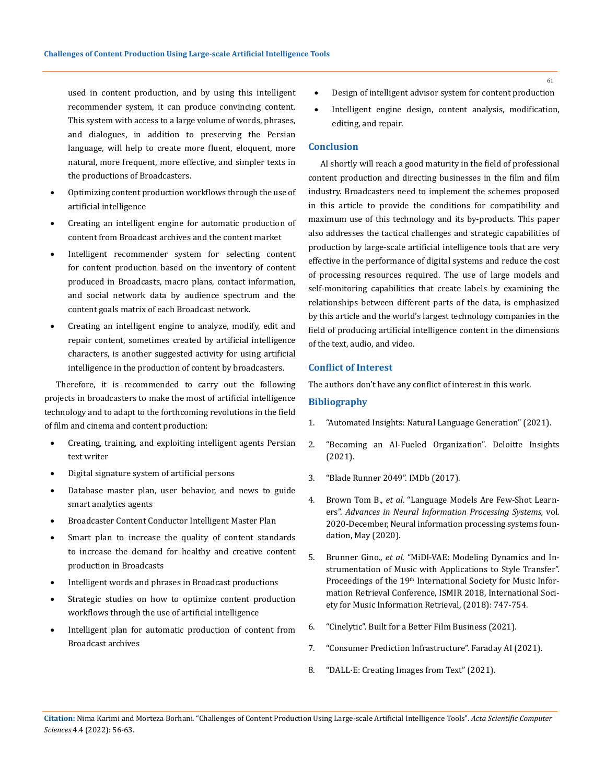used in content production, and by using this intelligent recommender system, it can produce convincing content. This system with access to a large volume of words, phrases, and dialogues, in addition to preserving the Persian language, will help to create more fluent, eloquent, more natural, more frequent, more effective, and simpler texts in the productions of Broadcasters.

- Optimizing content production workflows through the use of artificial intelligence
- Creating an intelligent engine for automatic production of content from Broadcast archives and the content market
- Intelligent recommender system for selecting content for content production based on the inventory of content produced in Broadcasts, macro plans, contact information, and social network data by audience spectrum and the content goals matrix of each Broadcast network.
- Creating an intelligent engine to analyze, modify, edit and repair content, sometimes created by artificial intelligence characters, is another suggested activity for using artificial intelligence in the production of content by broadcasters.

Therefore, it is recommended to carry out the following projects in broadcasters to make the most of artificial intelligence technology and to adapt to the forthcoming revolutions in the field of film and cinema and content production:

- Creating, training, and exploiting intelligent agents Persian text writer
- Digital signature system of artificial persons
- Database master plan, user behavior, and news to guide smart analytics agents
- Broadcaster Content Conductor Intelligent Master Plan
- Smart plan to increase the quality of content standards to increase the demand for healthy and creative content production in Broadcasts
- Intelligent words and phrases in Broadcast productions
- Strategic studies on how to optimize content production workflows through the use of artificial intelligence
- Intelligent plan for automatic production of content from Broadcast archives
- Design of intelligent advisor system for content production
- Intelligent engine design, content analysis, modification, editing, and repair.

### **Conclusion**

AI shortly will reach a good maturity in the field of professional content production and directing businesses in the film and film industry. Broadcasters need to implement the schemes proposed in this article to provide the conditions for compatibility and maximum use of this technology and its by-products. This paper also addresses the tactical challenges and strategic capabilities of production by large-scale artificial intelligence tools that are very effective in the performance of digital systems and reduce the cost of processing resources required. The use of large models and self-monitoring capabilities that create labels by examining the relationships between different parts of the data, is emphasized by this article and the world's largest technology companies in the field of producing artificial intelligence content in the dimensions of the text, audio, and video.

### **Conflict of Interest**

The authors don't have any conflict of interest in this work.

# **Bibliography**

- 1. ["Automated Insights: Natural Language Generation" \(2021\).](https://automatedinsights.com/)
- 2. ["Becoming an AI-Fueled Organization". Deloitte Insights](https://www2.deloitte.com/us/en/insights/focus/cognitive-technologies/enterprise-artificial-intelligence-4th-edition.html?id=us:2ps:3gl:ais2021:awa:con:102221:ad2:kwd-299956920378:artificial%20intelligence&gclid=CjwKCAjw5c6LBhBdEiwAP9ejG229cMrcR6T9P1v2C9GQQDMNY4p6Q1RmCAnHGLVVubQoOLgV_TabxBoCb_UQAvD_BwE)  [\(2021\).](https://www2.deloitte.com/us/en/insights/focus/cognitive-technologies/enterprise-artificial-intelligence-4th-edition.html?id=us:2ps:3gl:ais2021:awa:con:102221:ad2:kwd-299956920378:artificial%20intelligence&gclid=CjwKCAjw5c6LBhBdEiwAP9ejG229cMrcR6T9P1v2C9GQQDMNY4p6Q1RmCAnHGLVVubQoOLgV_TabxBoCb_UQAvD_BwE)
- 3. ["Blade Runner 2049". IMDb \(2017\).](https://www.imdb.com/title/tt1856101/)
- 4. Brown Tom B., *et al*[. "Language Models Are Few-Shot Learn](https://arxiv.org/abs/2005.14165v4)ers". *[Advances in Neural Information Processing Systems,](https://arxiv.org/abs/2005.14165v4)* vol. [2020-December, Neural information processing systems foun](https://arxiv.org/abs/2005.14165v4)[dation, May \(2020\).](https://arxiv.org/abs/2005.14165v4)
- 5. Brunner Gino., *et al*[. "MiDI-VAE: Modeling Dynamics and In](https://arxiv.org/abs/1809.07600)[strumentation of Music with Applications to Style Transfer".](https://arxiv.org/abs/1809.07600)  Proceedings of the 19<sup>th</sup> International Society for Music Infor[mation Retrieval Conference, ISMIR 2018, International Soci](https://arxiv.org/abs/1809.07600)[ety for Music Information Retrieval, \(2018\): 747-754.](https://arxiv.org/abs/1809.07600)
- 6. ["Cinelytic". Built for a Better Film Business \(2021\).](https://www.cinelytic.com/)
- 7. ["Consumer Prediction Infrastructure". Faraday AI \(2021\).](https://faraday.ai/)
- 8. ["DALL·E: Creating Images from Text" \(2021\).](https://openai.com/blog/dall-e/)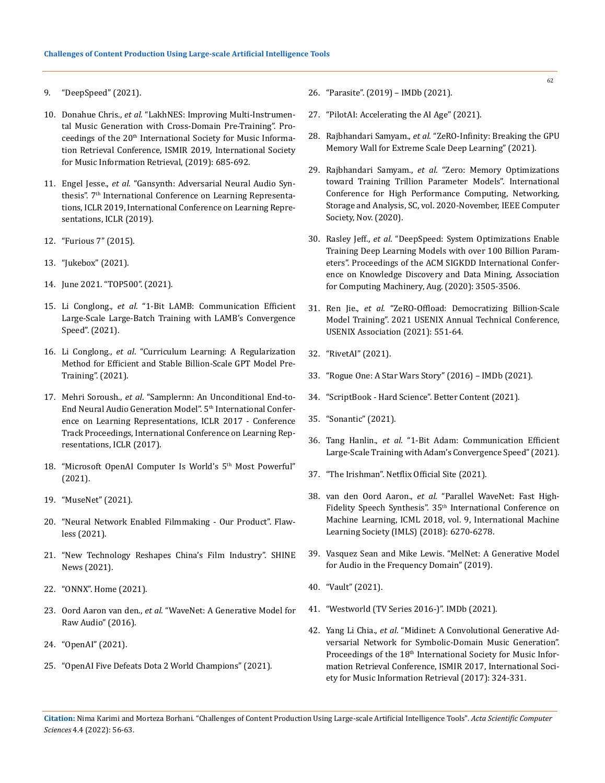- 9. ["DeepSpeed" \(2021\).](https://www.deepspeed.ai/)
- 10. Donahue Chris., *et al*[. "LakhNES: Improving Multi-Instrumen](https://arxiv.org/abs/1907.04868)[tal Music Generation with Cross-Domain Pre-Training". Pro](https://arxiv.org/abs/1907.04868)ceedings of the 20<sup>th</sup> International Society for Music Informa[tion Retrieval Conference, ISMIR 2019, International Society](https://arxiv.org/abs/1907.04868)  [for Music Information Retrieval, \(2019\): 685-692.](https://arxiv.org/abs/1907.04868)
- 11. Engel Jesse., *et al*[. "Gansynth: Adversarial Neural Audio Syn](https://arxiv.org/abs/1902.08710)thesis". 7<sup>th</sup> International Conference on Learning Representa[tions, ICLR 2019, International Conference on Learning Repre](https://arxiv.org/abs/1902.08710)[sentations, ICLR \(2019\).](https://arxiv.org/abs/1902.08710)
- 12. ["Furious 7" \(2015\).](https://www.imdb.com/title/tt2820852/)
- 13. ["Jukebox" \(2021\).](https://openai.com/blog/jukebox/)
- 14. [June 2021. "TOP500". \(2021\).](https://www.top500.org/lists/top500/2021/06/)
- 15. Li Conglong., *et al*[. "1-Bit LAMB: Communication Efficient](http://arxiv.org/abs/2104.06069)  [Large-Scale Large-Batch Training with LAMB's Convergence](http://arxiv.org/abs/2104.06069)  [Speed". \(2021\).](http://arxiv.org/abs/2104.06069)
- 16. Li Conglong., *et al*[. "Curriculum Learning: A Regularization](http://arxiv.org/abs/2108.06084)  [Method for Efficient and Stable Billion-Scale GPT Model Pre-](http://arxiv.org/abs/2108.06084)[Training". \(2021\).](http://arxiv.org/abs/2108.06084)
- 17. Mehri Soroush., *et al*[. "Samplernn: An Unconditional End-to-](https://arxiv.org/abs/1612.07837)[End Neural Audio Generation Model". 5](https://arxiv.org/abs/1612.07837)<sup>th</sup> International Confer[ence on Learning Representations, ICLR 2017 - Conference](https://arxiv.org/abs/1612.07837)  [Track Proceedings, International Conference on Learning Rep](https://arxiv.org/abs/1612.07837)[resentations, ICLR \(2017\).](https://arxiv.org/abs/1612.07837)
- 18. "Microsoft OpenAI Computer Is World's 5<sup>th</sup> Most Powerful" [\(2021\).](https://techxplore.com/news/2020-05-microsoft-openai-world-5th-powerful.html)
- 19. ["MuseNet" \(2021\).](https://openai.com/blog/musenet/)
- 20. ["Neural Network Enabled Filmmaking Our Product". Flaw](https://www.flawlessai.com/product)[less \(2021\).](https://www.flawlessai.com/product)
- 21. ["New Technology Reshapes China's Film Industry". SHINE](https://www.shine.cn/biz/tech/2106150661/)  [News \(2021\).](https://www.shine.cn/biz/tech/2106150661/)
- 22. ["ONNX". Home \(2021\).](https://onnx.ai/)
- 23. Oord Aaron van den., *et al*[. "WaveNet: A Generative Model for](http://arxiv.org/abs/1609.03499)  [Raw Audio" \(2016\).](http://arxiv.org/abs/1609.03499)
- 24. ["OpenAI" \(2021\).](https://openai.com/)
- 25. ["OpenAI Five Defeats Dota 2 World Champions" \(2021\).](https://openai.com/blog/openai-five-defeats-dota-2-world-champions/)
- 26. ["Parasite". \(2019\) IMDb \(2021\).](https://www.imdb.com/title/tt6751668/)
- 27. ["PilotAI: Accelerating the AI Age" \(2021\).](https://www.pilot.ai/)
- 28. Rajbhandari Samyam., *et al*[. "ZeRO-Infinity: Breaking the GPU](http://arxiv.org/abs/2104.07857)  [Memory Wall for Extreme Scale Deep Learning" \(2021\).](http://arxiv.org/abs/2104.07857)
- 29. Rajbhandari Samyam., *et al*[. "Zero: Memory Optimizations](https://arxiv.org/abs/1910.02054)  [toward Training Trillion Parameter Models". International](https://arxiv.org/abs/1910.02054)  [Conference for High Performance Computing, Networking,](https://arxiv.org/abs/1910.02054)  [Storage and Analysis, SC, vol. 2020-November, IEEE Computer](https://arxiv.org/abs/1910.02054)  [Society, Nov. \(2020\).](https://arxiv.org/abs/1910.02054)
- 30. Rasley Jeff., *et al*[. "DeepSpeed: System Optimizations Enable](https://doi.org/10.1145/3394486.3406703)  [Training Deep Learning Models with over 100 Billion Param](https://doi.org/10.1145/3394486.3406703)[eters". Proceedings of the ACM SIGKDD International Confer](https://doi.org/10.1145/3394486.3406703)[ence on Knowledge Discovery and Data Mining, Association](https://doi.org/10.1145/3394486.3406703)  [for Computing Machinery, Aug. \(2020\): 3505-3506.](https://doi.org/10.1145/3394486.3406703)
- 31. Ren Jie., *et al*[. "ZeRO-Offload: Democratizing Billion-Scale](https://arxiv.org/abs/2101.06840)  [Model Training". 2021 USENIX Annual Technical Conference,](https://arxiv.org/abs/2101.06840)  [USENIX Association \(2021\): 551-64.](https://arxiv.org/abs/2101.06840)
- 32. ["RivetAI" \(2021\).](https://www.rivetai.com/)
- 33. ["Rogue One: A Star Wars Story" \(2016\) IMDb \(2021\).](https://www.imdb.com/title/tt3748528/)
- 34. "ScriptBook Hard Science". Better Content (2021).
- 35. ["Sonantic" \(2021\).](https://www.sonantic.io/)
- 36. Tang Hanlin., *et al*[. "1-Bit Adam: Communication Efficient](http://arxiv.org/abs/2102.02888)  [Large-Scale Training with Adam's Convergence Speed" \(2021\).](http://arxiv.org/abs/2102.02888)
- 37. ["The Irishman". Netflix Official Site \(2021\).](https://www.netflix.com/fr-en/title/80175798)
- 38. van den Oord Aaron., *et al*[. "Parallel WaveNet: Fast High-](https://arxiv.org/abs/1711.10433)Fidelity Speech Synthesis". 35[th International Conference on](https://arxiv.org/abs/1711.10433)  [Machine Learning, ICML 2018, vol. 9, International Machine](https://arxiv.org/abs/1711.10433)  [Learning Society \(IMLS\) \(2018\): 6270-6278.](https://arxiv.org/abs/1711.10433)
- 39. [Vasquez Sean and Mike Lewis. "MelNet: A Generative Model](http://arxiv.org/abs/1906.01083)  [for Audio in the Frequency Domain" \(2019\).](http://arxiv.org/abs/1906.01083)
- 40. ["Vault" \(2021\).](https://www.vault-ai.com/)
- 41. ["Westworld \(TV Series 2016-\)". IMDb \(2021\).](https://www.imdb.com/title/tt0475784/)
- 42. Yang Li Chia., *et al*[. "Midinet: A Convolutional Generative Ad](https://arxiv.org/abs/1703.10847)[versarial Network for Symbolic-Domain Music Generation".](https://arxiv.org/abs/1703.10847)  Proceedings of the 18<sup>th</sup> International Society for Music Infor[mation Retrieval Conference, ISMIR 2017, International Soci](https://arxiv.org/abs/1703.10847)[ety for Music Information Retrieval \(2017\): 324-331.](https://arxiv.org/abs/1703.10847)

**Citation:** Nima Karimi and Morteza Borhani*.* "Challenges of Content Production Using Large-scale Artificial Intelligence Tools". *Acta Scientific Computer Sciences* 4.4 (2022): 56-63.